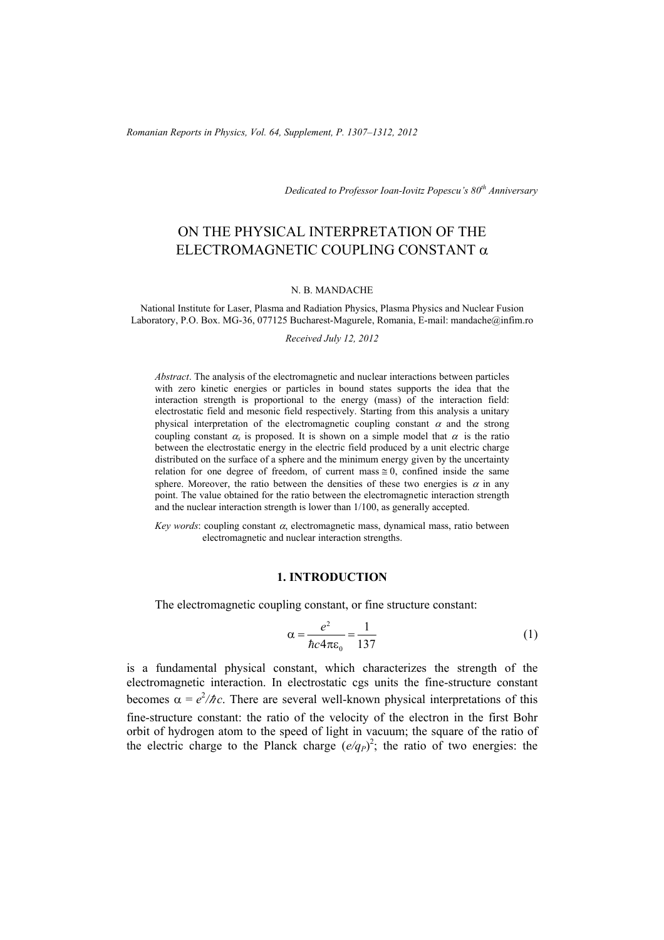*Dedicated to Professor Ioan-Iovitz Popescu's 80th Anniversary*

# ON THE PHYSICAL INTERPRETATION OF THE ELECTROMAGNETIC COUPLING CONSTANT  $\alpha$

#### N. B. MANDACHE

National Institute for Laser, Plasma and Radiation Physics, Plasma Physics and Nuclear Fusion Laboratory, P.O. Box. MG-36, 077125 Bucharest-Magurele, Romania, E-mail: mandache@infim.ro

*Received July 12, 2012* 

*Abstract*. The analysis of the electromagnetic and nuclear interactions between particles with zero kinetic energies or particles in bound states supports the idea that the interaction strength is proportional to the energy (mass) of the interaction field: electrostatic field and mesonic field respectively. Starting from this analysis a unitary physical interpretation of the electromagnetic coupling constant  $\alpha$  and the strong coupling constant  $\alpha_s$  is proposed. It is shown on a simple model that  $\alpha$  is the ratio between the electrostatic energy in the electric field produced by a unit electric charge distributed on the surface of a sphere and the minimum energy given by the uncertainty relation for one degree of freedom, of current mass  $\approx 0$ , confined inside the same sphere. Moreover, the ratio between the densities of these two energies is  $\alpha$  in any point. The value obtained for the ratio between the electromagnetic interaction strength and the nuclear interaction strength is lower than 1/100, as generally accepted.

*Key words*: coupling constant  $\alpha$ , electromagnetic mass, dynamical mass, ratio between electromagnetic and nuclear interaction strengths.

## **1. INTRODUCTION**

The electromagnetic coupling constant, or fine structure constant:

$$
\alpha = \frac{e^2}{\hbar c 4\pi \varepsilon_0} = \frac{1}{137}
$$
 (1)

is a fundamental physical constant, which characterizes the strength of the electromagnetic interaction. In electrostatic cgs units the fine-structure constant becomes  $\alpha = e^2/\hbar c$ . There are several well-known physical interpretations of this fine-structure constant: the ratio of the velocity of the electron in the first Bohr orbit of hydrogen atom to the speed of light in vacuum; the square of the ratio of the electric charge to the Planck charge  $(e/q_P)^2$ ; the ratio of two energies: the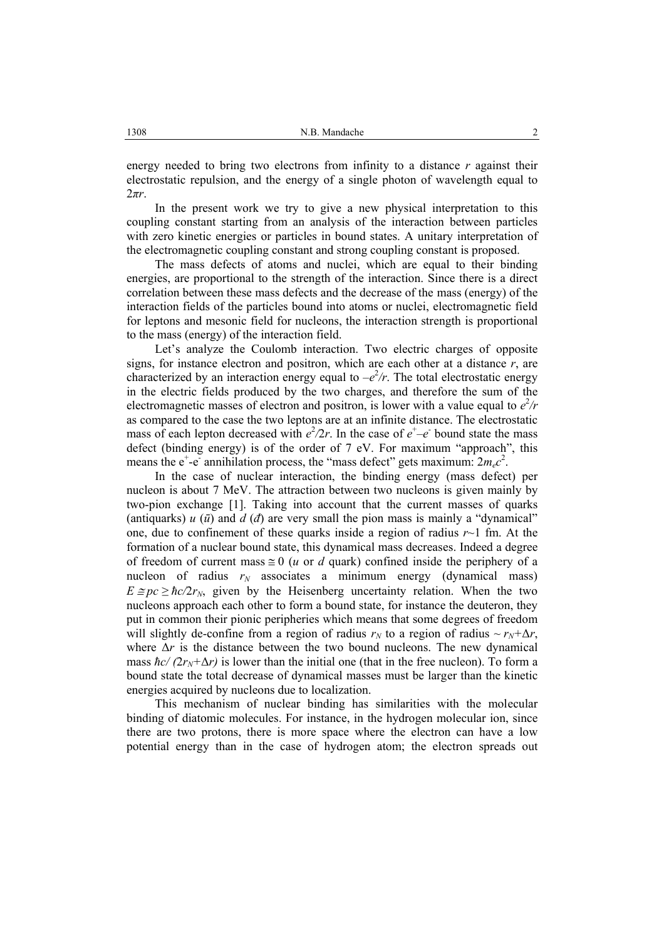energy needed to bring two electrons from infinity to a distance *r* against their electrostatic repulsion, and the energy of a single photon of wavelength equal to 2*πr*.

In the present work we try to give a new physical interpretation to this coupling constant starting from an analysis of the interaction between particles with zero kinetic energies or particles in bound states. A unitary interpretation of the electromagnetic coupling constant and strong coupling constant is proposed.

The mass defects of atoms and nuclei, which are equal to their binding energies, are proportional to the strength of the interaction. Since there is a direct correlation between these mass defects and the decrease of the mass (energy) of the interaction fields of the particles bound into atoms or nuclei, electromagnetic field for leptons and mesonic field for nucleons, the interaction strength is proportional to the mass (energy) of the interaction field.

Let's analyze the Coulomb interaction. Two electric charges of opposite signs, for instance electron and positron, which are each other at a distance *r*, are characterized by an interaction energy equal to  $-e^2/r$ . The total electrostatic energy in the electric fields produced by the two charges, and therefore the sum of the electromagnetic masses of electron and positron, is lower with a value equal to  $e^2/r$ as compared to the case the two leptons are at an infinite distance. The electrostatic mass of each lepton decreased with  $e^2/2r$ . In the case of  $e^+$ – $e^-$  bound state the mass defect (binding energy) is of the order of 7 eV. For maximum "approach", this means the  $e^+$ - $e^-$  annihilation process, the "mass defect" gets maximum:  $2m_ec^2$ .

In the case of nuclear interaction, the binding energy (mass defect) per nucleon is about 7 MeV. The attraction between two nucleons is given mainly by two-pion exchange [1]. Taking into account that the current masses of quarks (antiquarks)  $u(\bar{u})$  and  $d(\bar{d})$  are very small the pion mass is mainly a "dynamical" one, due to confinement of these quarks inside a region of radius *r*~1 fm. At the formation of a nuclear bound state, this dynamical mass decreases. Indeed a degree of freedom of current mass  $\equiv 0$  (*u* or *d* quark) confined inside the periphery of a nucleon of radius  $r_N$  associates a minimum energy (dynamical mass)  $E \cong pc \ge \hbar c/2r_N$ , given by the Heisenberg uncertainty relation. When the two nucleons approach each other to form a bound state, for instance the deuteron, they put in common their pionic peripheries which means that some degrees of freedom will slightly de-confine from a region of radius  $r_N$  to a region of radius  $\sim r_N + \Delta r$ , where  $\Delta r$  is the distance between the two bound nucleons. The new dynamical mass  $\hbar c/(2r_N+\Delta r)$  is lower than the initial one (that in the free nucleon). To form a bound state the total decrease of dynamical masses must be larger than the kinetic energies acquired by nucleons due to localization.

This mechanism of nuclear binding has similarities with the molecular binding of diatomic molecules. For instance, in the hydrogen molecular ion, since there are two protons, there is more space where the electron can have a low potential energy than in the case of hydrogen atom; the electron spreads out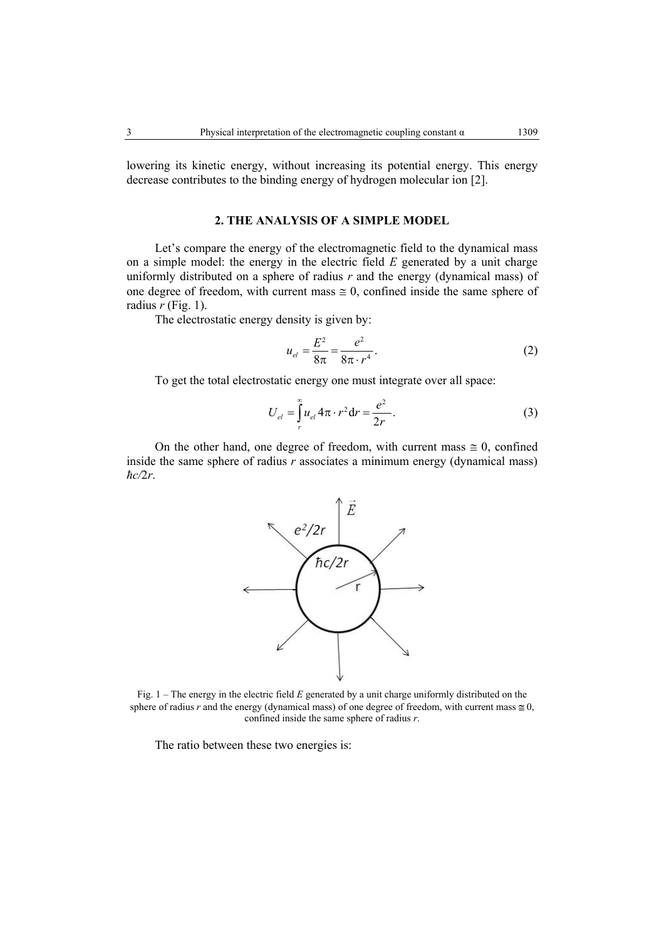lowering its kinetic energy, without increasing its potential energy. This energy decrease contributes to the binding energy of hydrogen molecular ion [2].

#### **2. THE ANALYSIS OF A SIMPLE MODEL**

Let's compare the energy of the electromagnetic field to the dynamical mass on a simple model: the energy in the electric field *E* generated by a unit charge uniformly distributed on a sphere of radius  $r$  and the energy (dynamical mass) of one degree of freedom, with current mass  $\approx 0$ , confined inside the same sphere of radius  $r$  (Fig. 1).

The electrostatic energy density is given by:

$$
u_{el} = \frac{E^2}{8\pi} = \frac{e^2}{8\pi \cdot r^4}.
$$
 (2)

To get the total electrostatic energy one must integrate over all space:

$$
U_{el} = \int_{r}^{\infty} u_{el} 4\pi \cdot r^2 dr = \frac{e^2}{2r}.
$$
 (3)

On the other hand, one degree of freedom, with current mass  $\approx 0$ , confined inside the same sphere of radius *r* associates a minimum energy (dynamical mass) *ћc/*2*r*.



Fig. 1 – The energy in the electric field *E* generated by a unit charge uniformly distributed on the sphere of radius *r* and the energy (dynamical mass) of one degree of freedom, with current mass  $\approx 0$ , confined inside the same sphere of radius *r*.

The ratio between these two energies is: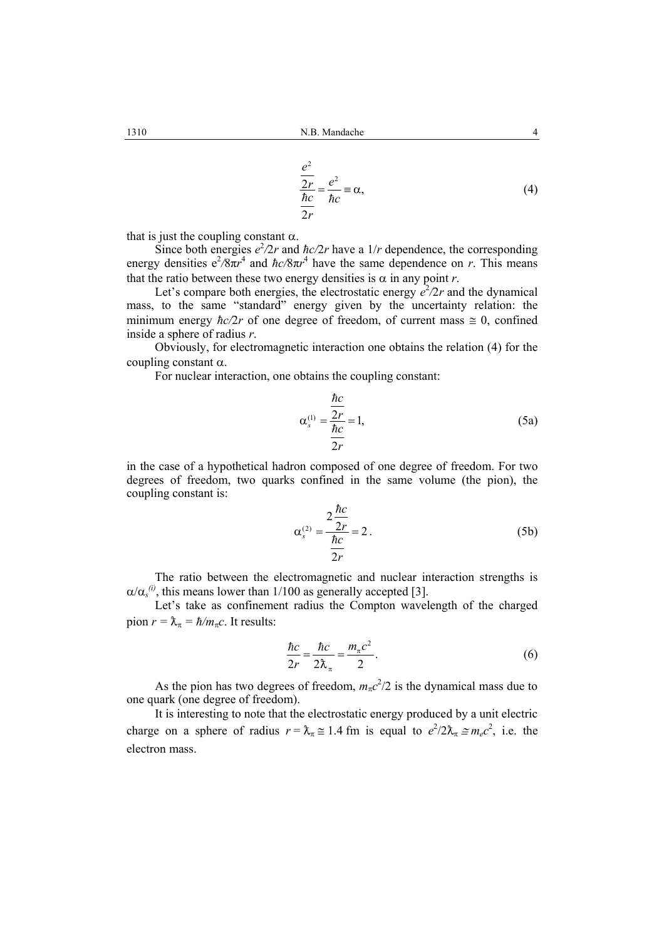$$
\frac{e^2}{\frac{2r}{\hbar c}} = \frac{e^2}{\hbar c} = \alpha,\tag{4}
$$

that is just the coupling constant  $\alpha$ .

Since both energies  $e^2/2r$  and  $\hbar c/2r$  have a  $1/r$  dependence, the corresponding energy densities  $e^2/8\pi r^4$  and  $\hbar c/8\pi r^4$  have the same dependence on *r*. This means that the ratio between these two energy densities is  $\alpha$  in any point *r*.

Let's compare both energies, the electrostatic energy  $e^2/2r$  and the dynamical mass, to the same "standard" energy given by the uncertainty relation: the minimum energy  $\hbar c/2r$  of one degree of freedom, of current mass  $\approx 0$ , confined inside a sphere of radius *r*.

Obviously, for electromagnetic interaction one obtains the relation (4) for the coupling constant α.

For nuclear interaction, one obtains the coupling constant:

$$
\alpha_s^{(1)} = \frac{\frac{\hbar c}{2r}}{\frac{\hbar c}{2r}} = 1,
$$
\n(5a)

in the case of a hypothetical hadron composed of one degree of freedom. For two degrees of freedom, two quarks confined in the same volume (the pion), the coupling constant is:

$$
\alpha_s^{(2)} = \frac{2\frac{\hbar c}{2r}}{\frac{\hbar c}{2r}} = 2.
$$
 (5b)

The ratio between the electromagnetic and nuclear interaction strengths is  $\alpha/\alpha_s^{(i)}$ , this means lower than 1/100 as generally accepted [3].

Let's take as confinement radius the Compton wavelength of the charged pion  $r = \lambda_{\pi} = \hbar/m_{\pi}c$ . It results:

$$
\frac{\hbar c}{2r} = \frac{\hbar c}{2\lambda_{\pi}} = \frac{m_{\pi}c^2}{2}.
$$
\n(6)

As the pion has two degrees of freedom,  $m_{\pi}c^2/2$  is the dynamical mass due to one quark (one degree of freedom).

It is interesting to note that the electrostatic energy produced by a unit electric charge on a sphere of radius  $r = \lambda_{\pi} \approx 1.4$  fm is equal to  $e^2/2\lambda_{\pi} \approx m_e c^2$ , i.e. the electron mass.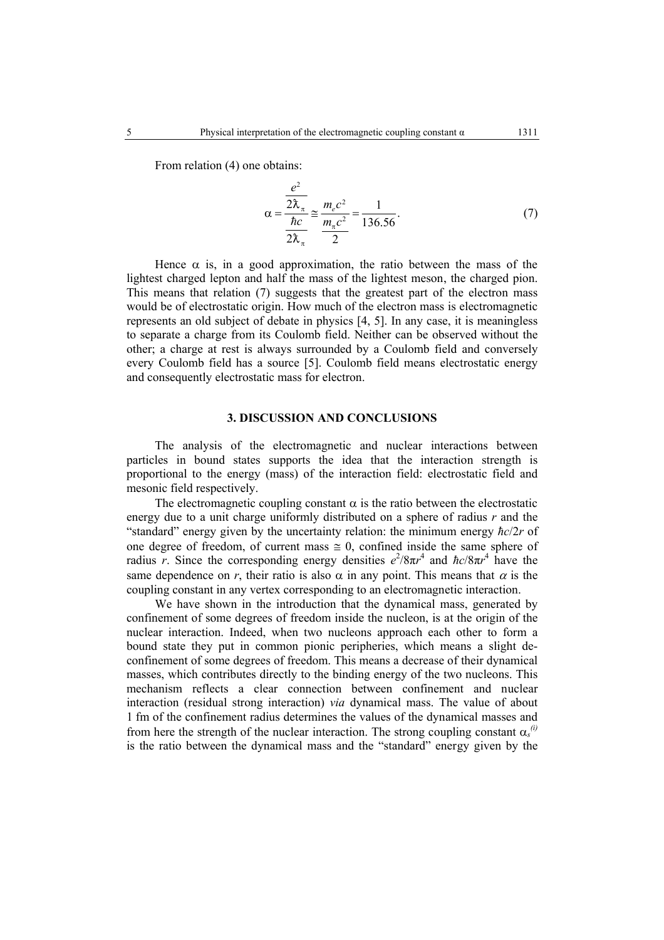From relation (4) one obtains:

$$
\alpha = \frac{\frac{e^2}{2\lambda_{\pi}}}{\frac{\hbar c}{2\lambda_{\pi}}} \approx \frac{m_e c^2}{\frac{m_{\pi} c^2}{2}} = \frac{1}{136.56}.
$$
 (7)

Hence  $\alpha$  is, in a good approximation, the ratio between the mass of the lightest charged lepton and half the mass of the lightest meson, the charged pion. This means that relation (7) suggests that the greatest part of the electron mass would be of electrostatic origin. How much of the electron mass is electromagnetic represents an old subject of debate in physics [4, 5]. In any case, it is meaningless to separate a charge from its Coulomb field. Neither can be observed without the other; a charge at rest is always surrounded by a Coulomb field and conversely every Coulomb field has a source [5]. Coulomb field means electrostatic energy and consequently electrostatic mass for electron.

## **3. DISCUSSION AND CONCLUSIONS**

The analysis of the electromagnetic and nuclear interactions between particles in bound states supports the idea that the interaction strength is proportional to the energy (mass) of the interaction field: electrostatic field and mesonic field respectively.

The electromagnetic coupling constant  $\alpha$  is the ratio between the electrostatic energy due to a unit charge uniformly distributed on a sphere of radius *r* and the "standard" energy given by the uncertainty relation: the minimum energy *ћc*/2*r* of one degree of freedom, of current mass  $\approx 0$ , confined inside the same sphere of radius *r*. Since the corresponding energy densities  $e^{2}/8\pi r^{4}$  and  $\hbar c/8\pi r^{4}$  have the same dependence on *r*, their ratio is also  $\alpha$  in any point. This means that  $\alpha$  is the coupling constant in any vertex corresponding to an electromagnetic interaction.

We have shown in the introduction that the dynamical mass, generated by confinement of some degrees of freedom inside the nucleon, is at the origin of the nuclear interaction. Indeed, when two nucleons approach each other to form a bound state they put in common pionic peripheries, which means a slight deconfinement of some degrees of freedom. This means a decrease of their dynamical masses, which contributes directly to the binding energy of the two nucleons. This mechanism reflects a clear connection between confinement and nuclear interaction (residual strong interaction) *via* dynamical mass. The value of about 1 fm of the confinement radius determines the values of the dynamical masses and from here the strength of the nuclear interaction. The strong coupling constant  $\alpha_s^{(i)}$ is the ratio between the dynamical mass and the "standard" energy given by the